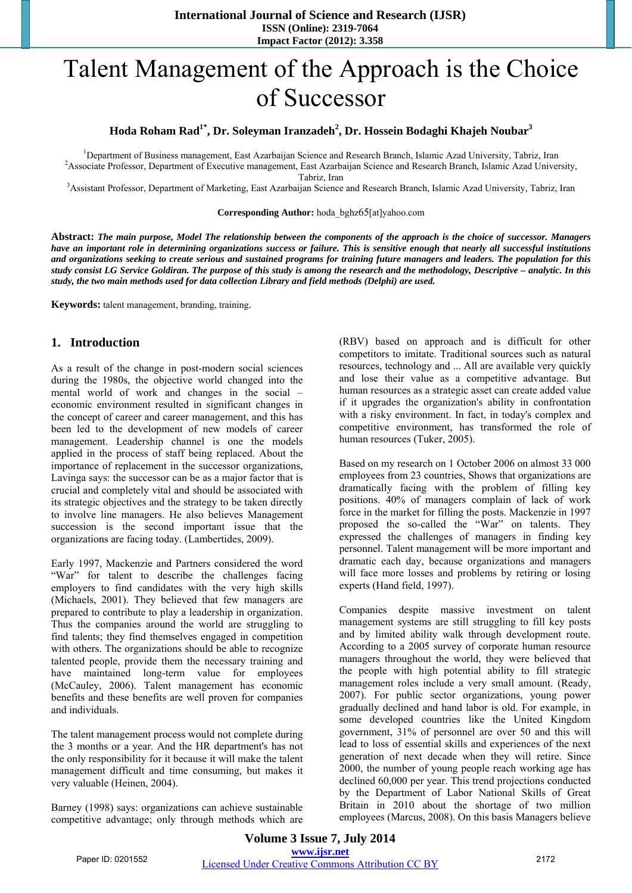# Talent Management of the Approach is the Choice of Successor

### $\bold{H}$ oda Roham Rad $\bold{1}^*$ , Dr. Soleyman Iranzadeh $^2$ , Dr. Hossein Bodaghi Khajeh Noubar $^3$

<sup>1</sup>Department of Business management, East Azarbaijan Science and Research Branch, Islamic Azad University, Tabriz, Iran <sup>2</sup> Associate Branche Research Branch at This and Injury 2.2 Associate Branche Research Branch Johnne <sup>2</sup> Associate Professor, Department of Executive management, East Azarbaijan Science and Research Branch, Islamic Azad University,

Tabriz, Iran<br><sup>3</sup>Assistant Professor, Department of Marketing, East Azarbaijan Science and Research Branch, Islamic Azad University, Tabriz, Iran

#### **Corresponding Author:** hoda\_bghz65[at]yahoo.com

**Abstract:** *The main purpose, Model The relationship between the components of the approach is the choice of successor. Managers have an important role in determining organizations success or failure. This is sensitive enough that nearly all successful institutions and organizations seeking to create serious and sustained programs for training future managers and leaders. The population for this study consist LG Service Goldiran. The purpose of this study is among the research and the methodology, Descriptive – analytic. In this study, the two main methods used for data collection Library and field methods (Delphi) are used.*

**Keywords:** talent management, branding, training.

#### **1. Introduction**

As a result of the change in post-modern social sciences during the 1980s, the objective world changed into the mental world of work and changes in the social – economic environment resulted in significant changes in the concept of career and career management, and this has been led to the development of new models of career management. Leadership channel is one the models applied in the process of staff being replaced. About the importance of replacement in the successor organizations, Lavinga says: the successor can be as a major factor that is crucial and completely vital and should be associated with its strategic objectives and the strategy to be taken directly to involve line managers. He also believes Management succession is the second important issue that the organizations are facing today. (Lambertides, 2009).

Early 1997, Mackenzie and Partners considered the word "War" for talent to describe the challenges facing employers to find candidates with the very high skills (Michaels, 2001). They believed that few managers are prepared to contribute to play a leadership in organization. Thus the companies around the world are struggling to find talents; they find themselves engaged in competition with others. The organizations should be able to recognize talented people, provide them the necessary training and have maintained long-term value for employees (McCauley, 2006). Talent management has economic benefits and these benefits are well proven for companies and individuals.

The talent management process would not complete during the 3 months or a year. And the HR department's has not the only responsibility for it because it will make the talent management difficult and time consuming, but makes it very valuable (Heinen, 2004).

Barney (1998) says: organizations can achieve sustainable competitive advantage; only through methods which are (RBV) based on approach and is difficult for other competitors to imitate. Traditional sources such as natural resources, technology and ... All are available very quickly and lose their value as a competitive advantage. But human resources as a strategic asset can create added value if it upgrades the organization's ability in confrontation with a risky environment. In fact, in today's complex and competitive environment, has transformed the role of human resources (Tuker, 2005).

Based on my research on 1 October 2006 on almost 33 000 employees from 23 countries, Shows that organizations are dramatically facing with the problem of filling key positions. 40% of managers complain of lack of work force in the market for filling the posts. Mackenzie in 1997 proposed the so-called the "War" on talents. They expressed the challenges of managers in finding key personnel. Talent management will be more important and dramatic each day, because organizations and managers will face more losses and problems by retiring or losing experts (Hand field, 1997).

Companies despite massive investment on talent management systems are still struggling to fill key posts and by limited ability walk through development route. According to a 2005 survey of corporate human resource managers throughout the world, they were believed that the people with high potential ability to fill strategic management roles include a very small amount. (Ready, 2007). For public sector organizations, young power gradually declined and hand labor is old. For example, in some developed countries like the United Kingdom government, 31% of personnel are over 50 and this will lead to loss of essential skills and experiences of the next generation of next decade when they will retire. Since 2000, the number of young people reach working age has declined 60,000 per year. This trend projections conducted by the Department of Labor National Skills of Great Britain in 2010 about the shortage of two million employees (Marcus, 2008). On this basis Managers believe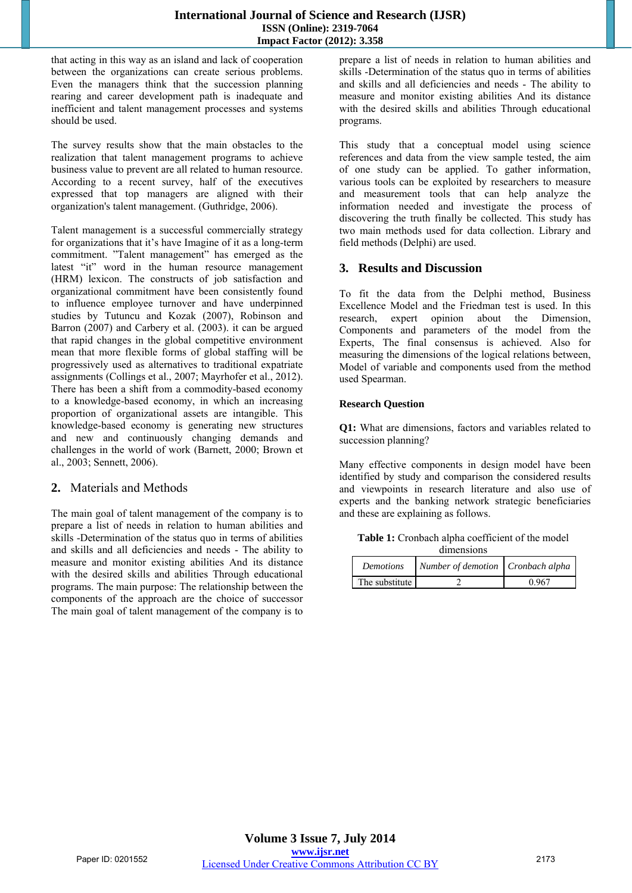that acting in this way as an island and lack of cooperation between the organizations can create serious problems. Even the managers think that the succession planning rearing and career development path is inadequate and inefficient and talent management processes and systems should be used.

The survey results show that the main obstacles to the realization that talent management programs to achieve business value to prevent are all related to human resource. According to a recent survey, half of the executives expressed that top managers are aligned with their organization's talent management. (Guthridge, 2006).

Talent management is a successful commercially strategy for organizations that it's have Imagine of it as a long-term commitment. "Talent management" has emerged as the latest "it" word in the human resource management (HRM) lexicon. The constructs of job satisfaction and organizational commitment have been consistently found to influence employee turnover and have underpinned studies by Tutuncu and Kozak (2007), Robinson and Barron (2007) and Carbery et al. (2003). it can be argued that rapid changes in the global competitive environment mean that more flexible forms of global staffing will be progressively used as alternatives to traditional expatriate assignments (Collings et al., 2007; Mayrhofer et al., 2012). There has been a shift from a commodity-based economy to a knowledge-based economy, in which an increasing proportion of organizational assets are intangible. This knowledge-based economy is generating new structures and new and continuously changing demands and challenges in the world of work (Barnett, 2000; Brown et al., 2003; Sennett, 2006).

# **2.** Materials and Methods

The main goal of talent management of the company is to prepare a list of needs in relation to human abilities and skills -Determination of the status quo in terms of abilities and skills and all deficiencies and needs - The ability to measure and monitor existing abilities And its distance with the desired skills and abilities Through educational programs. The main purpose: The relationship between the components of the approach are the choice of successor The main goal of talent management of the company is to

prepare a list of needs in relation to human abilities and skills -Determination of the status quo in terms of abilities and skills and all deficiencies and needs - The ability to measure and monitor existing abilities And its distance with the desired skills and abilities Through educational programs.

This study that a conceptual model using science references and data from the view sample tested, the aim of one study can be applied. To gather information, various tools can be exploited by researchers to measure and measurement tools that can help analyze the information needed and investigate the process of discovering the truth finally be collected. This study has two main methods used for data collection. Library and field methods (Delphi) are used.

# **3. Results and Discussion**

To fit the data from the Delphi method, Business Excellence Model and the Friedman test is used. In this research, expert opinion about the Dimension, Components and parameters of the model from the Experts, The final consensus is achieved. Also for measuring the dimensions of the logical relations between, Model of variable and components used from the method used Spearman.

#### **Research Question**

**Q1:** What are dimensions, factors and variables related to succession planning?

Many effective components in design model have been identified by study and comparison the considered results and viewpoints in research literature and also use of experts and the banking network strategic beneficiaries and these are explaining as follows.

**Table 1:** Cronbach alpha coefficient of the model dimensions

| <b>Demotions</b> | Number of demotion Cronbach alpha |       |
|------------------|-----------------------------------|-------|
| The substitute   |                                   | 0.967 |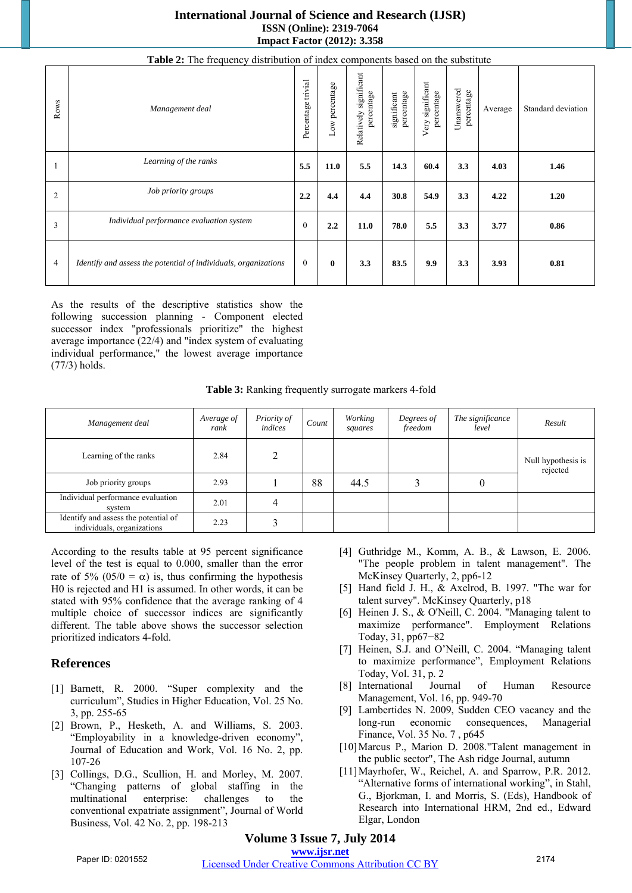#### **International Journal of Science and Research (IJSR) ISSN (Online): 2319-7064 Impact Factor (2012): 3.358**

| Table 2: The frequency distribution of index components based on the substitute |                                                                 |                    |                   |                                         |                           |                                |                          |         |                    |
|---------------------------------------------------------------------------------|-----------------------------------------------------------------|--------------------|-------------------|-----------------------------------------|---------------------------|--------------------------------|--------------------------|---------|--------------------|
| Rows                                                                            | Management deal                                                 | Percentage trivial | percentage<br>Low | significant<br>percentage<br>Relatively | percentage<br>significant | Very significant<br>percentage | Unanswered<br>percentage | Average | Standard deviation |
|                                                                                 | Learning of the ranks                                           | 5.5                | 11.0              | 5.5                                     | 14.3                      | 60.4                           | 3.3                      | 4.03    | 1.46               |
| $\overline{2}$                                                                  | Job priority groups                                             | 2.2                | 4.4               | 4.4                                     | 30.8                      | 54.9                           | 3.3                      | 4.22    | 1.20               |
| 3                                                                               | Individual performance evaluation system                        | $\Omega$           | 2.2               | 11.0                                    | 78.0                      | 5.5                            | 3.3                      | 3.77    | 0.86               |
| 4                                                                               | Identify and assess the potential of individuals, organizations | $\theta$           | $\mathbf{0}$      | 3.3                                     | 83.5                      | 9.9                            | 3.3                      | 3.93    | 0.81               |

As the results of the descriptive statistics show the following succession planning - Component elected successor index "professionals prioritize" the highest average importance (22/4) and "index system of evaluating individual performance," the lowest average importance (77/3) holds.

Table 3: Ranking frequently surrogate markers 4-fold

| Management deal                                                    | Average of<br>rank | Priority of<br>indices | Count | Working<br>squares | Degrees of<br>freedom | The significance<br>level | Result                         |
|--------------------------------------------------------------------|--------------------|------------------------|-------|--------------------|-----------------------|---------------------------|--------------------------------|
| Learning of the ranks                                              | 2.84               |                        |       |                    |                       |                           | Null hypothesis is<br>rejected |
| Job priority groups                                                | 2.93               |                        | 88    | 44.5               |                       |                           |                                |
| Individual performance evaluation<br>system                        | 2.01               |                        |       |                    |                       |                           |                                |
| Identify and assess the potential of<br>individuals, organizations | 2.23               |                        |       |                    |                       |                           |                                |

According to the results table at 95 percent significance level of the test is equal to 0.000, smaller than the error rate of 5% (05/0 =  $\alpha$ ) is, thus confirming the hypothesis H0 is rejected and H1 is assumed. In other words, it can be stated with 95% confidence that the average ranking of 4 multiple choice of successor indices are significantly different. The table above shows the successor selection prioritized indicators 4-fold.

# **References**

- [1] Barnett, R. 2000. "Super complexity and the curriculum", Studies in Higher Education, Vol. 25 No. 3, pp. 255-65
- [2] Brown, P., Hesketh, A. and Williams, S. 2003. "Employability in a knowledge-driven economy", Journal of Education and Work, Vol. 16 No. 2, pp. 107-26
- [3] Collings, D.G., Scullion, H. and Morley, M. 2007. "Changing patterns of global staffing in the multinational enterprise: challenges to the conventional expatriate assignment", Journal of World Business, Vol. 42 No. 2, pp. 198-213
- [4] Guthridge M., Komm, A. B., & Lawson, E. 2006. "The people problem in talent management". The McKinsey Quarterly, 2, pp6-12
- [5] Hand field J. H., & Axelrod, B. 1997. "The war for talent survey". McKinsey Quarterly, p18
- [6] Heinen J. S., & O'Neill, C. 2004. "Managing talent to maximize performance". Employment Relations Today, 31, pp67−82
- [7] Heinen, S.J. and O'Neill, C. 2004. "Managing talent to maximize performance", Employment Relations Today, Vol. 31, p. 2
- [8] International Journal of Human Resource Management, Vol. 16, pp. 949-70
- [9] Lambertides N. 2009, Sudden CEO vacancy and the long-run economic consequences, Managerial Finance, Vol. 35 No. 7 , p645
- [10]Marcus P., Marion D. 2008."Talent management in the public sector", The Ash ridge Journal, autumn
- [11] Mayrhofer, W., Reichel, A. and Sparrow, P.R. 2012. "Alternative forms of international working", in Stahl, G., Bjorkman, I. and Morris, S. (Eds), Handbook of Research into International HRM, 2nd ed., Edward Elgar, London